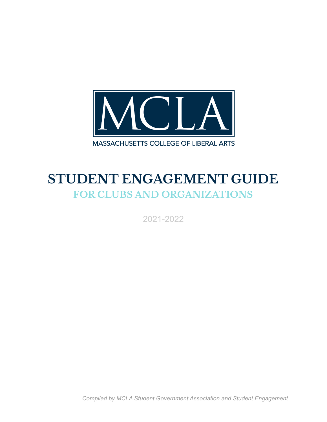

# **STUDENT ENGAGEMENT GUIDE FOR CLUBS AND ORGANIZATIONS**

2021-2022

*Compiled by MCLA Student Government Association and Student Engagement*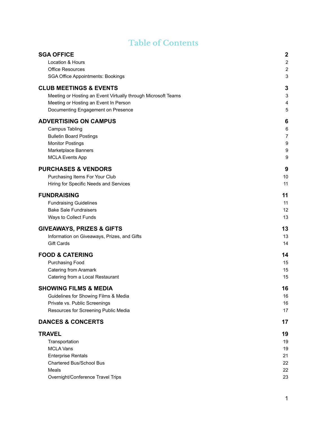# **Table of Contents**

| <b>SGA OFFICE</b>                                             | $\boldsymbol{2}$ |
|---------------------------------------------------------------|------------------|
| Location & Hours                                              | $\overline{2}$   |
| <b>Office Resources</b>                                       | $\overline{2}$   |
| <b>SGA Office Appointments: Bookings</b>                      | 3                |
| <b>CLUB MEETINGS &amp; EVENTS</b>                             | 3                |
| Meeting or Hosting an Event Virtually through Microsoft Teams | 3                |
| Meeting or Hosting an Event In Person                         | 4                |
| Documenting Engagement on Presence                            | 5                |
| <b>ADVERTISING ON CAMPUS</b>                                  | 6                |
| Campus Tabling                                                | 6                |
| <b>Bulletin Board Postings</b>                                | $\overline{7}$   |
| <b>Monitor Postings</b>                                       | 9                |
| Marketplace Banners                                           | 9                |
| <b>MCLA Events App</b>                                        | 9                |
| <b>PURCHASES &amp; VENDORS</b>                                | 9                |
| Purchasing Items For Your Club                                | 10               |
| Hiring for Specific Needs and Services                        | 11               |
| <b>FUNDRAISING</b>                                            | 11               |
| <b>Fundraising Guidelines</b>                                 | 11               |
| <b>Bake Sale Fundraisers</b>                                  | 12               |
| Ways to Collect Funds                                         | 13               |
| <b>GIVEAWAYS, PRIZES &amp; GIFTS</b>                          | 13               |
| Information on Giveaways, Prizes, and Gifts                   | 13               |
| <b>Gift Cards</b>                                             | 14               |
| <b>FOOD &amp; CATERING</b>                                    | 14               |
| <b>Purchasing Food</b>                                        | 15               |
| Catering from Aramark                                         | 15               |
| Catering from a Local Restaurant                              | 15               |
| <b>SHOWING FILMS &amp; MEDIA</b>                              | 16               |
| Guidelines for Showing Films & Media                          | 16               |
| Private vs. Public Screenings                                 | 16               |
| Resources for Screening Public Media                          | 17               |
| <b>DANCES &amp; CONCERTS</b>                                  | 17               |
| <b>TRAVEL</b>                                                 | 19               |
| Transportation                                                | 19               |
| <b>MCLA Vans</b>                                              | 19               |
| <b>Enterprise Rentals</b>                                     | 21               |
| <b>Chartered Bus/School Bus</b>                               | 22               |
| Meals                                                         | 22               |
| Overnight/Conference Travel Trips                             | 23               |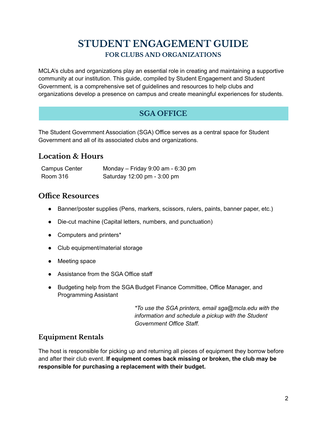# **STUDENT ENGAGEMENT GUIDE FOR CLUBS AND ORGANIZATIONS**

MCLA's clubs and organizations play an essential role in creating and maintaining a supportive community at our institution. This guide, compiled by Student Engagement and Student Government, is a comprehensive set of guidelines and resources to help clubs and organizations develop a presence on campus and create meaningful experiences for students.

# **SGA OFFICE**

<span id="page-2-0"></span>The Student Government Association (SGA) Office serves as a central space for Student Government and all of its associated clubs and organizations.

# <span id="page-2-1"></span>**Location & Hours**

| <b>Campus Center</b> | Monday – Friday 9:00 am - 6:30 pm |
|----------------------|-----------------------------------|
| Room 316             | Saturday 12:00 pm - 3:00 pm       |

### <span id="page-2-2"></span>**Office Resources**

- Banner/poster supplies (Pens, markers, scissors, rulers, paints, banner paper, etc.)
- Die-cut machine (Capital letters, numbers, and punctuation)
- Computers and printers\*
- Club equipment/material storage
- Meeting space
- Assistance from the SGA Office staff
- Budgeting help from the SGA Budget Finance Committee, Office Manager, and Programming Assistant

*\*To use the SGA printers, email sga@mcla.edu with the information and schedule a pickup with the Student Government Office Staff.*

### **Equipment Rentals**

The host is responsible for picking up and returning all pieces of equipment they borrow before and after their club event. **If equipment comes back missing or broken, the club may be responsible for purchasing a replacement with their budget.**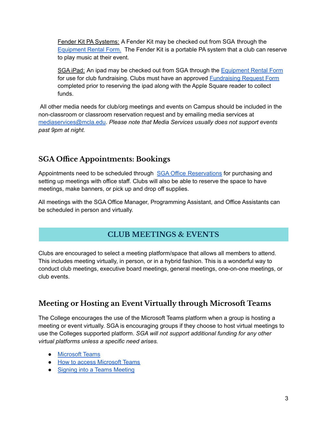Fender Kit PA Systems: A Fender Kit may be checked out from SGA through the [Equipment](https://mcla.presence.io/form/sga-equipment-reservation-form) Rental Form. The Fender Kit is a portable PA system that a club can reserve to play music at their event.

SGA iPad: An ipad may be checked out from SGA through the **[Equipment](https://mcla.presence.io/form/sga-equipment-reservation-form) Rental Form** for use for club fundraising. Clubs must have an approved [Fundraising](https://mcla.presence.io/form/mcla-student-fundraising-activity-application) Request Form completed prior to reserving the ipad along with the Apple Square reader to collect funds.

All other media needs for club/org meetings and events on Campus should be included in the non-classroom or classroom reservation request and by emailing media services at [mediaservices@mcla.edu](mailto:mediaservices@mcla.edu). *Please note that Media Services usually does not support events past 9pm at night.*

# <span id="page-3-0"></span>**SGA Office Appointments: Bookings**

Appointments need to be scheduled through SGA Office [Reservations](https://outlook.office365.com/owa/calendar/SGAOffice@mcla.onmicrosoft.com/bookings/) for purchasing and setting up meetings with office staff. Clubs will also be able to reserve the space to have meetings, make banners, or pick up and drop off supplies.

All meetings with the SGA Office Manager, Programming Assistant, and Office Assistants can be scheduled in person and virtually.

# **CLUB MEETINGS & EVENTS**

<span id="page-3-1"></span>Clubs are encouraged to select a meeting platform/space that allows all members to attend. This includes meeting virtually, in person, or in a hybrid fashion. This is a wonderful way to conduct club meetings, executive board meetings, general meetings, one-on-one meetings, or club events.

# <span id="page-3-2"></span>**Meeting or Hosting an Event Virtually through Microsoft Teams**

The College encourages the use of the Microsoft Teams platform when a group is hosting a meeting or event virtually. SGA is encouraging groups if they choose to host virtual meetings to use the Colleges supported platform. *SGA will not support additional funding for any other virtual platforms unless a specific need arises.*

- [Microsoft](https://techhelp.mcla.edu/index.php/O365_-_Microsoft_Teams) Teams
- How to access [Microsoft](https://techhelp.mcla.edu/index.php/O365_-_Signing_into_a_Teams_Meeting) Teams
- Signing into a Teams [Meeting](https://techhelp.mcla.edu/index.php/O365_-_Signing_into_a_Teams_Meeting)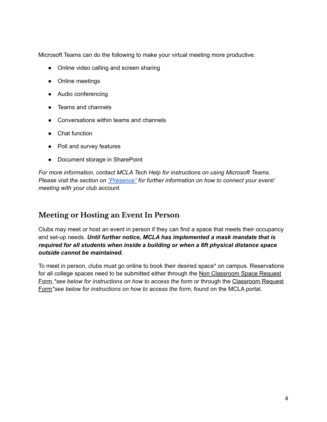Microsoft Teams can do the following to make your virtual meeting more productive:

- Online video calling and screen sharing
- Online meetings
- Audio conferencing
- Teams and channels
- Conversations within teams and channels
- Chat function
- Poll and survey features
- Document storage in SharePoint

*For more information, contact MCLA Tech Help for instructions on using Microsoft Teams. Please visit the section on ["Presence"](http://learn.presence.io/en/articles/4298549-track-attendees-using-microsoft-teams) for further information on how to connect your event/ meeting with your club account.*

# <span id="page-4-0"></span>**Meeting or Hosting an Event In Person**

Clubs may meet or host an event in person if they can find a space that meets their occupancy and set-up needs. *Until further notice, MCLA has implemented a mask mandate that is required for all students when inside a building or when a 6ft physical distance space outside cannot be maintained.*

To meet in person, clubs must go online to book their desired space\* on campus. Reservations for all college spaces need to be submitted either through the Non Classroom Space Request Form *\*see below for instructions on how to access the form* or through the Classroom Request Form*\*see below for instructions on how to access the form*, found on the MCLA portal.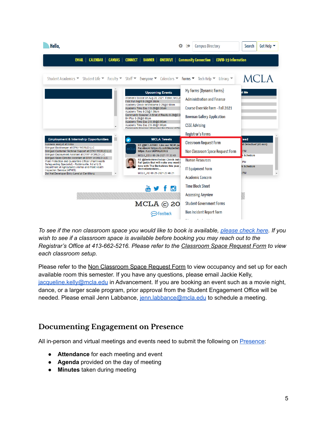

To see if the non classroom space you would like to book is available, [please](http://calendar.mcla.edu/VirtualEMS/browseevents.aspx) check here. If you *wish to see if a classroom space is available before booking you may reach out to the Registrar's Office at 413-662-5216. Please refer to the Classroom Space Request Form to view each classroom setup.*

Please refer to the Non Classroom Space Request Form to view occupancy and set up for each available room this semester. If you have any questions, please email Jackie Kelly, [jacqueline.kelly@mcla.edu](mailto:jacqueline.kelly@mcla.edu) in Advancement. If you are booking an event such as a movie night, dance, or a larger scale program, prior approval from the Student Engagement Office will be needed. Please email Jenn Labbance, [jenn.labbance@mcla.edu](mailto:jenn.labbance@mcla.edu) to schedule a meeting.

### <span id="page-5-0"></span>**Documenting Engagement on Presence**

All in-person and virtual meetings and events need to submit the following on [Presence](https://mcla.presence.io/):

- **Attendance** for each meeting and event
- **Agenda** provided on the day of meeting
- **Minutes** taken during meeting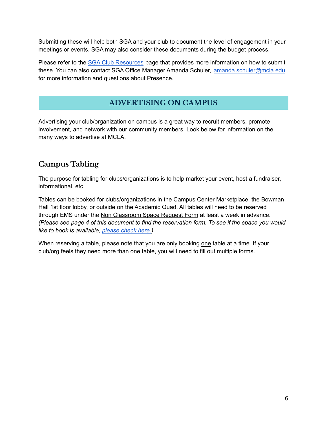Submitting these will help both SGA and your club to document the level of engagement in your meetings or events. SGA may also consider these documents during the budget process.

Please refer to the SGA Club [Resources](https://www.mcla.edu/student-life/student-government/club-resources/index.php) page that provides more information on how to submit these. You can also contact SGA Office Manager Amanda Schuler, [amanda.schuler@mcla.edu](mailto:amanda.schuler@mcla.edu) for more information and questions about Presence.

### **ADVERTISING ON CAMPUS**

<span id="page-6-0"></span>Advertising your club/organization on campus is a great way to recruit members, promote involvement, and network with our community members. Look below for information on the many ways to advertise at MCLA.

# <span id="page-6-1"></span>**Campus Tabling**

The purpose for tabling for clubs/organizations is to help market your event, host a fundraiser, informational, etc.

Tables can be booked for clubs/organizations in the Campus Center Marketplace, the Bowman Hall 1st floor lobby, or outside on the Academic Quad. All tables will need to be reserved through EMS under the Non Classroom Space Request Form at least a week in advance. (Please see page 4 of this document to find the reservation form. To see if the space you would *like to book is available, [please](http://calendar.mcla.edu/VirtualEMS/browseevents.aspx) check here.)*

When reserving a table, please note that you are only booking one table at a time. If your club/org feels they need more than one table, you will need to fill out multiple forms.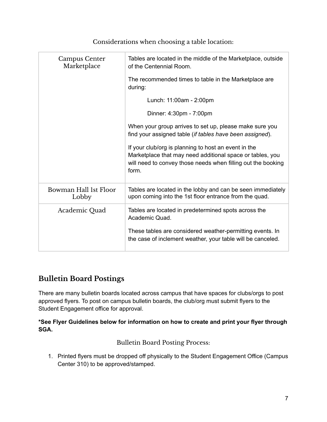| Tables are located in the middle of the Marketplace, outside<br>of the Centennial Room.                                                                                                            |
|----------------------------------------------------------------------------------------------------------------------------------------------------------------------------------------------------|
| The recommended times to table in the Marketplace are<br>during:                                                                                                                                   |
| Lunch: 11:00am - 2:00pm                                                                                                                                                                            |
| Dinner: 4:30pm - 7:00pm                                                                                                                                                                            |
| When your group arrives to set up, please make sure you<br>find your assigned table (if tables have been assigned).                                                                                |
| If your club/org is planning to host an event in the<br>Marketplace that may need additional space or tables, you<br>will need to convey those needs when filling out the booking<br>form.         |
| Tables are located in the lobby and can be seen immediately<br>upon coming into the 1st floor entrance from the quad.                                                                              |
| Tables are located in predetermined spots across the<br>Academic Quad.<br>These tables are considered weather-permitting events. In<br>the case of inclement weather, your table will be canceled. |
|                                                                                                                                                                                                    |

Considerations when choosing a table location:

# <span id="page-7-0"></span>**Bulletin Board Postings**

There are many bulletin boards located across campus that have spaces for clubs/orgs to post approved flyers. To post on campus bulletin boards, the club/org must submit flyers to the Student Engagement office for approval.

**\*See Flyer Guidelines below for information on how to create and print your flyer through SGA.**

Bulletin Board Posting Process:

1. Printed flyers must be dropped off physically to the Student Engagement Office (Campus Center 310) to be approved/stamped.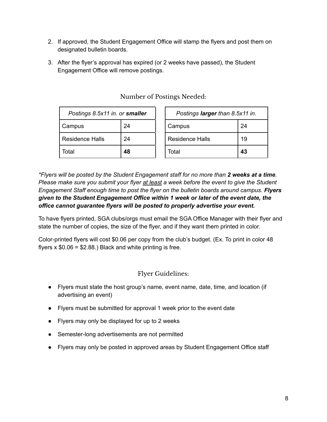- 2. If approved, the Student Engagement Office will stamp the flyers and post them on designated bulletin boards.
- 3. After the flyer's approval has expired (or 2 weeks have passed), the Student Engagement Office will remove postings.

| Postings 8.5x11 in. or smaller |    | Postings larger than 8.5x11 in. |    |
|--------------------------------|----|---------------------------------|----|
| Campus                         | 24 | Campus                          | 24 |
| <b>Residence Halls</b>         | 24 | <b>Residence Halls</b>          | 19 |
| Total                          | 48 | Total                           | 43 |

#### Number of Postings Needed:

*\*Flyers will be posted by the Student Engagement staff for no more than 2 weeks at a time. Please make sure you submit your flyer at least a week before the event to give the Student Engagement Staff enough time to post the flyer on the bulletin boards around campus. Flyers given to the Student Engagement Office within 1 week or later of the event date, the office cannot guarantee flyers will be posted to properly advertise your event.*

To have flyers printed, SGA clubs/orgs must email the SGA Office Manager with their flyer and state the number of copies, the size of the flyer, and if they want them printed in color.

Color-printed flyers will cost \$0.06 per copy from the club's budget. (Ex. To print in color 48 flyers  $x$  \$0.06 = \$2.88.) Black and white printing is free.

#### Flyer Guidelines:

- Flyers must state the host group's name, event name, date, time, and location (if advertising an event)
- Flyers must be submitted for approval 1 week prior to the event date
- Flyers may only be displayed for up to 2 weeks
- Semester-long advertisements are not permitted
- Flyers may only be posted in approved areas by Student Engagement Office staff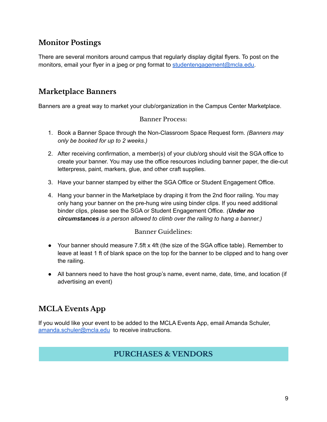# <span id="page-9-0"></span>**Monitor Postings**

There are several monitors around campus that regularly display digital flyers. To post on the monitors, email your flyer in a jpeg or png format to [studentengagement@mcla.edu](mailto:studentengagement@mcla.edu).

# <span id="page-9-1"></span>**Marketplace Banners**

Banners are a great way to market your club/organization in the Campus Center Marketplace.

#### Banner Process:

- 1. Book a Banner Space through the Non-Classroom Space Request form. *(Banners may only be booked for up to 2 weeks.)*
- 2. After receiving confirmation, a member(s) of your club/org should visit the SGA office to create your banner. You may use the office resources including banner paper, the die-cut letterpress, paint, markers, glue, and other craft supplies.
- 3. Have your banner stamped by either the SGA Office or Student Engagement Office.
- 4. Hang your banner in the Marketplace by draping it from the 2nd floor railing. You may only hang your banner on the pre-hung wire using binder clips. If you need additional binder clips, please see the SGA or Student Engagement Office. *(Under no circumstances is a person allowed to climb over the railing to hang a banner.)*

#### Banner Guidelines:

- Your banner should measure 7.5ft x 4ft (the size of the SGA office table). Remember to leave at least 1 ft of blank space on the top for the banner to be clipped and to hang over the railing.
- All banners need to have the host group's name, event name, date, time, and location (if advertising an event)

# <span id="page-9-2"></span>**MCLA Events App**

<span id="page-9-3"></span>If you would like your event to be added to the MCLA Events App, email Amanda Schuler, [amanda.schuler@mcla.edu](mailto:amanda.schuler@mcla.edu) to receive instructions.

# **PURCHASES & VENDORS**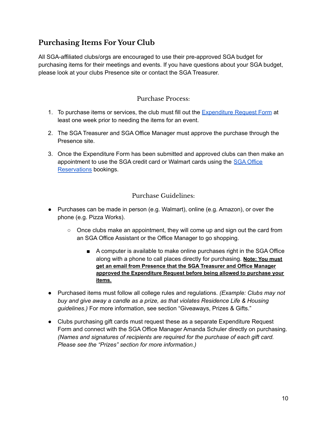# <span id="page-10-0"></span>**Purchasing Items For Your Club**

All SGA-affiliated clubs/orgs are encouraged to use their pre-approved SGA budget for purchasing items for their meetings and events. If you have questions about your SGA budget, please look at your clubs Presence site or contact the SGA Treasurer.

#### Purchase Process:

- 1. To purchase items or services, the club must fill out the [Expenditure](https://mcla.presence.io/admin/form/create-expenditure/respond) Request Form at least one week prior to needing the items for an event.
- 2. The SGA Treasurer and SGA Office Manager must approve the purchase through the Presence site.
- 3. Once the Expenditure Form has been submitted and approved clubs can then make an appointment to use the SGA credit card or Walmart cards using the SGA [Office](https://outlook.office365.com/owa/calendar/SGAOffice@mcla.onmicrosoft.com/bookings/) [Reservations](https://outlook.office365.com/owa/calendar/SGAOffice@mcla.onmicrosoft.com/bookings/) bookings.

#### Purchase Guidelines:

- Purchases can be made in person (e.g. Walmart), online (e.g. Amazon), or over the phone (e.g. Pizza Works).
	- $\circ$  Once clubs make an appointment, they will come up and sign out the card from an SGA Office Assistant or the Office Manager to go shopping.
		- A computer is available to make online purchases right in the SGA Office along with a phone to call places directly for purchasing. **Note: You must get an email from Presence that the SGA Treasurer and Office Manager approved the Expenditure Request before being allowed to purchase your items.**
- Purchased items must follow all college rules and regulations. *(Example: Clubs may not buy and give away a candle as a prize, as that violates Residence Life & Housing guidelines.)* For more information, see section "Giveaways, Prizes & Gifts."
- Clubs purchasing gift cards must request these as a separate Expenditure Request Form and connect with the SGA Office Manager Amanda Schuler directly on purchasing. *(Names and signatures of recipients are required for the purchase of each gift card. Please see the "Prizes" section for more information.)*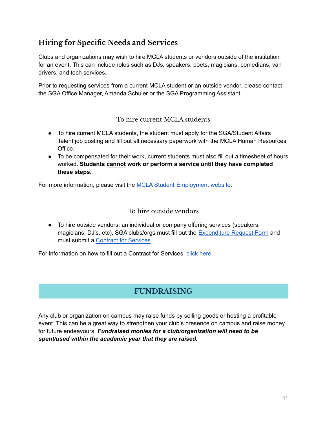# <span id="page-11-0"></span>**Hiring for Specific Needs and Services**

Clubs and organizations may wish to hire MCLA students or vendors outside of the institution for an event. This can include roles such as DJs, speakers, poets, magicians, comedians, van drivers, and tech services.

Prior to requesting services from a current MCLA student or an outside vendor, please contact the SGA Office Manager, Amanda Schuler or the SGA Programming Assistant.

#### To hire current MCLA students

- To hire current MCLA students, the student must apply for the SGA/Student Affairs Talent job posting and fill out all necessary paperwork with the MCLA Human Resources Office.
- To be compensated for their work, current students must also fill out a timesheet of hours worked. **Students cannot work or perform a service until they have completed these steps.**

For more information, please visit the MCLA Student [Employment](https://www.mcla.edu/administration/administrative-offices/hr/student-employment-forms.php) website.

#### To hire outside vendors

● To hire outside vendors; an individual or company offering services (speakers, magicians, DJ's, etc), SGA clubs/orgs must fill out the **[Expenditure](https://mcla.presence.io/admin/form/create-expenditure/respond) Request Form** and must submit a Contract for [Services](https://www.mcla.edu/Assets/MCLA-Files/Administrative-Offices/Admin-and-Finance/Contract%20mcla%20template.pdf).

For information on how to fill out a Contract for Services; click [here.](https://www.mcla.edu/Assets/MCLA-Files/Student-Life/SGA/how-tos/CONTRACT%20FOR%20SERVICES%20TUTORIAL.pdf)

# **FUNDRAISING**

<span id="page-11-1"></span>Any club or organization on campus may raise funds by selling goods or hosting a profitable event. This can be a great way to strengthen your club's presence on campus and raise money for future endeavours. *Fundraised monies for a club/organization will need to be spent/used within the academic year that they are raised.*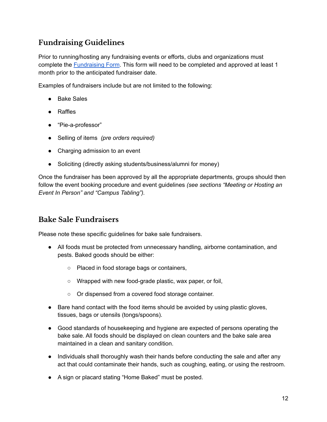# <span id="page-12-0"></span>**Fundraising Guidelines**

Prior to running/hosting any fundraising events or efforts, clubs and organizations must complete the [Fundraising](https://mcla.presence.io/form/mcla-student-fundraising-activity-application) Form. This form will need to be completed and approved at least 1 month prior to the anticipated fundraiser date.

Examples of fundraisers include but are not limited to the following:

- Bake Sales
- Raffles
- "Pie-a-professor"
- Selling of items *(pre orders required)*
- Charging admission to an event
- Soliciting (directly asking students/business/alumni for money)

Once the fundraiser has been approved by all the appropriate departments, groups should then follow the event booking procedure and event guidelines *(see sections "Meeting or Hosting an Event In Person" and "Campus Tabling").*

### <span id="page-12-1"></span>**Bake Sale Fundraisers**

Please note these specific guidelines for bake sale fundraisers.

- All foods must be protected from unnecessary handling, airborne contamination, and pests. Baked goods should be either:
	- Placed in food storage bags or containers,
	- Wrapped with new food-grade plastic, wax paper, or foil,
	- Or dispensed from a covered food storage container.
- Bare hand contact with the food items should be avoided by using plastic gloves, tissues, bags or utensils (tongs/spoons).
- **●** Good standards of housekeeping and hygiene are expected of persons operating the bake sale. All foods should be displayed on clean counters and the bake sale area maintained in a clean and sanitary condition.
- Individuals shall thoroughly wash their hands before conducting the sale and after any act that could contaminate their hands, such as coughing, eating, or using the restroom.
- A sign or placard stating "Home Baked" must be posted.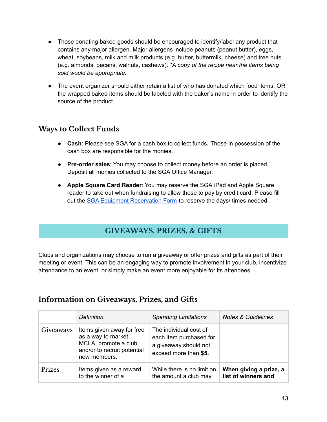- Those donating baked goods should be encouraged to identify/label any product that contains any major allergen. Major allergens include peanuts (peanut butter), eggs, wheat, soybeans, milk and milk products (e.g. butter, buttermilk, cheese) and tree nuts (e.g. almonds, pecans, walnuts, cashews). *\*A copy of the recipe near the items being sold would be appropriate.*
- The event organizer should either retain a list of who has donated which food items, OR the wrapped baked items should be labeled with the baker's name in order to identify the source of the product.

### <span id="page-13-0"></span>**Ways to Collect Funds**

- **Cash**: Please see SGA for a cash box to collect funds. Those in possession of the cash box are responsible for the monies.
- **Pre-order sales**: You may choose to collect money before an order is placed. Deposit all monies collected to the SGA Office Manager.
- **Apple Square Card Reader**: You may reserve the SGA iPad and Apple Square reader to take out when fundraising to allow those to pay by credit card. Please fill out the SGA Equipment [Reservation](https://mcla.presence.io/form/sga-equipment-reservation-form) Form to reserve the days/ times needed.

# **GIVEAWAYS, PRIZES, & GIFTS**

<span id="page-13-1"></span>Clubs and organizations may choose to run a giveaway or offer prizes and gifts as part of their meeting or event. This can be an engaging way to promote involvement in your club, incentivize attendance to an event, or simply make an event more enjoyable for its attendees.

### <span id="page-13-2"></span>**Information on Giveaways, Prizes, and Gifts**

|           | Definition                                                                                                              | <b>Spending Limitations</b>                                                                         | <b>Notes &amp; Guidelines</b>                 |
|-----------|-------------------------------------------------------------------------------------------------------------------------|-----------------------------------------------------------------------------------------------------|-----------------------------------------------|
| Giveaways | Items given away for free<br>as a way to market<br>MCLA, promote a club,<br>and/or to recruit potential<br>new members. | The individual cost of<br>each item purchased for<br>a giveaway should not<br>exceed more than \$5. |                                               |
| Prizes    | Items given as a reward<br>to the winner of a                                                                           | While there is no limit on<br>the amount a club may                                                 | When giving a prize, a<br>list of winners and |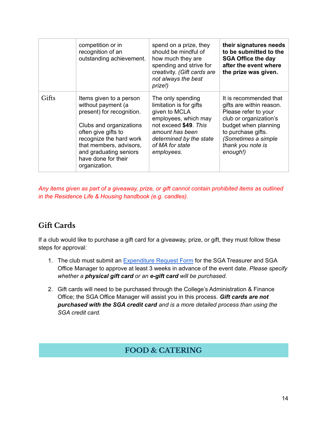|       | competition or in<br>recognition of an<br>outstanding achievement.                                                                                                                                                                                   | spend on a prize, they<br>should be mindful of<br>how much they are<br>spending and strive for<br>creativity. (Gift cards are<br>not always the best<br>prize!)                               | their signatures needs<br>to be submitted to the<br><b>SGA Office the day</b><br>after the event where<br>the prize was given.                                                                             |
|-------|------------------------------------------------------------------------------------------------------------------------------------------------------------------------------------------------------------------------------------------------------|-----------------------------------------------------------------------------------------------------------------------------------------------------------------------------------------------|------------------------------------------------------------------------------------------------------------------------------------------------------------------------------------------------------------|
| Gifts | Items given to a person<br>without payment (a<br>present) for recognition.<br>Clubs and organizations<br>often give gifts to<br>recognize the hard work<br>that members, advisors,<br>and graduating seniors<br>have done for their<br>organization. | The only spending<br>limitation is for gifts<br>given to MCLA<br>employees, which may<br>not exceed \$49. This<br>amount has been<br>determined by the state<br>of MA for state<br>employees. | It is recommended that<br>gifts are within reason.<br>Please refer to your<br>club or organization's<br>budget when planning<br>to purchase gifts.<br>(Sometimes a simple<br>thank you note is<br>enough!) |

*Any items given as part of a giveaway, prize, or gift cannot contain prohibited items as outlined in the Residence Life & Housing handbook (e.g. candles).*

# <span id="page-14-0"></span>**Gift Cards**

If a club would like to purchase a gift card for a giveaway, prize, or gift, they must follow these steps for approval:

- 1. The club must submit an [Expenditure](https://mcla.presence.io/admin/form/create-expenditure/respond) Request Form for the SGA Treasurer and SGA Office Manager to approve at least 3 weeks in advance of the event date. *Please specify whether a physical gift card or an e-gift card will be purchased.*
- <span id="page-14-1"></span>2. Gift cards will need to be purchased through the College's Administration & Finance Office; the SGA Office Manager will assist you in this process. *Gift cards are not purchased with the SGA credit card and is a more detailed process than using the SGA credit card.*

# **FOOD & CATERING**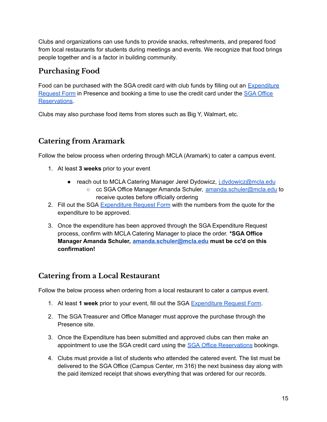Clubs and organizations can use funds to provide snacks, refreshments, and prepared food from local restaurants for students during meetings and events. We recognize that food brings people together and is a factor in building community.

# <span id="page-15-0"></span>**Purchasing Food**

Food can be purchased with the SGA credit card with club funds by filling out an [Expenditure](https://mcla.presence.io/admin/form/create-expenditure/respond) [Request](https://mcla.presence.io/admin/form/create-expenditure/respond) Form in Presence and booking a time to use the credit card under the SGA [Office](https://outlook.office365.com/owa/calendar/SGAOffice@mcla.onmicrosoft.com/bookings/) [Reservations](https://outlook.office365.com/owa/calendar/SGAOffice@mcla.onmicrosoft.com/bookings/).

Clubs may also purchase food items from stores such as Big Y, Walmart, etc.

# <span id="page-15-1"></span>**Catering from Aramark**

Follow the below process when ordering through MCLA (Aramark) to cater a campus event.

- 1. At least **3 weeks** prior to your event
	- reach out to MCLA Catering Manager Jerel Dydowicz, *i.dydowicz@mcla.edu* 
		- cc SGA Office Manager Amanda Schuler, [amanda.schuler@mcla.edu](mailto:amanda.schuler@mcla.edu) to receive quotes before officially ordering
- 2. Fill out the SGA [Expenditure](https://mcla.presence.io/admin/form/create-expenditure/respond) Request Form with the numbers from the quote for the expenditure to be approved.
- 3. Once the expenditure has been approved through the SGA Expenditure Request process, confirm with MCLA Catering Manager to place the order. **\*SGA Office Manager Amanda Schuler, [amanda.schuler@mcla.edu](mailto:amanda.schuler@mcla.edu) must be cc'd on this confirmation!**

# <span id="page-15-2"></span>**Catering from a Local Restaurant**

Follow the below process when ordering from a local restaurant to cater a campus event.

- 1. At least **1 week** prior to your event, fill out the SGA [Expenditure](https://mcla.presence.io/admin/form/create-expenditure/respond) Request Form.
- 2. The SGA Treasurer and Office Manager must approve the purchase through the Presence site.
- 3. Once the Expenditure has been submitted and approved clubs can then make an appointment to use the SGA credit card using the **SGA Office [Reservations](https://outlook.office365.com/owa/calendar/SGAOffice@mcla.onmicrosoft.com/bookings/) bookings.**
- 4. Clubs must provide a list of students who attended the catered event. The list must be delivered to the SGA Office (Campus Center, rm 316) the next business day along with the paid itemized receipt that shows everything that was ordered for our records.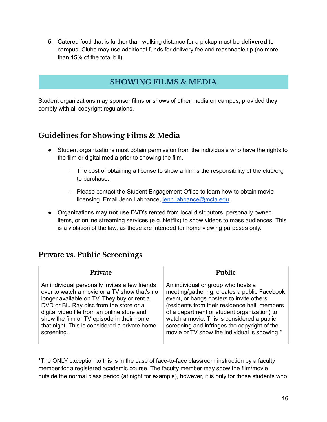5. Catered food that is further than walking distance for a pickup must be **delivered** to campus. Clubs may use additional funds for delivery fee and reasonable tip (no more than 15% of the total bill).

# **SHOWING FILMS & MEDIA**

<span id="page-16-0"></span>Student organizations may sponsor films or shows of other media on campus, provided they comply with all copyright regulations.

### <span id="page-16-1"></span>**Guidelines for Showing Films & Media**

- Student organizations must obtain permission from the individuals who have the rights to the film or digital media prior to showing the film.
	- $\circ$  The cost of obtaining a license to show a film is the responsibility of the club/org to purchase.
	- Please contact the Student Engagement Office to learn how to obtain movie licensing. Email Jenn Labbance, [jenn.labbance@mcla.edu](mailto:jenn.Labbance@mcla.edu) .
- Organizations **may not** use DVD's rented from local distributors, personally owned items, or online streaming services (e.g. Netflix) to show videos to mass audiences. This is a violation of the law, as these are intended for home viewing purposes only.

# <span id="page-16-2"></span>**Private vs. Public Screenings**

| Private                                        | <b>Public</b>                                 |
|------------------------------------------------|-----------------------------------------------|
| An individual personally invites a few friends | An individual or group who hosts a            |
| over to watch a movie or a TV show that's no   | meeting/gathering, creates a public Facebook  |
| longer available on TV. They buy or rent a     | event, or hangs posters to invite others      |
| DVD or Blu Ray disc from the store or a        | (residents from their residence hall, members |
| digital video file from an online store and    | of a department or student organization) to   |
| show the film or TV episode in their home      | watch a movie. This is considered a public    |
| that night. This is considered a private home  | screening and infringes the copyright of the  |
| screening.                                     | movie or TV show the individual is showing.*  |

\*The ONLY exception to this is in the case of face-to-face classroom instruction by a faculty member for a registered academic course. The faculty member may show the film/movie outside the normal class period (at night for example), however, it is only for those students who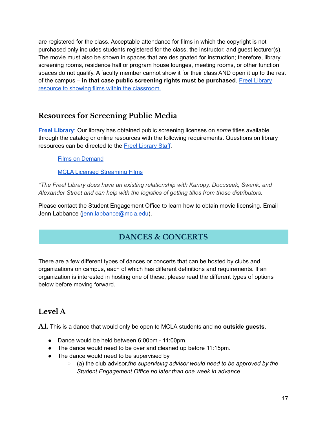are registered for the class. Acceptable attendance for films in which the copyright is not purchased only includes students registered for the class, the instructor, and guest lecturer(s). The movie must also be shown in spaces that are designated for instruction; therefore, library screening rooms, residence hall or program house lounges, meeting rooms, or other function spaces do not qualify. A faculty member cannot show it for their class AND open it up to the rest of the campus – **in that case public screening rights must be purchased**. Freel [Library](https://library.mcla.edu/facultyresources/streamingvideos) resource to showing films within the [classroom.](https://library.mcla.edu/facultyresources/streamingvideos)

# <span id="page-17-0"></span>**Resources for Screening Public Media**

**Freel [Library](https://library.mcla.edu/freel_library)**: Our library has obtained public screening licenses on *some* titles available through the catalog or online resources with the following requirements. Questions on library resources can be directed to the Freel [Library](https://library.mcla.edu/askus) Staff.

Films on [Demand](https://libproxy.mcla.edu:2448/nd_Home.aspx)

MCLA Licensed [Streaming](https://mcla-catalog.helmlib.org/cgi-bin/koha/opac-shelves.pl?op=view&shelfnumber=681&sortfield=title) Films

*\*The Freel Library does have an existing relationship with Kanopy, Docuseek, Swank, and Alexander Street and can help with the logistics of getting titles from those distributors.*

Please contact the Student Engagement Office to learn how to obtain movie licensing. Email Jenn Labbance ([jenn.labbance@mcla.edu](mailto:jenn.Labbance@mcla.edu)).

# **DANCES & CONCERTS**

<span id="page-17-1"></span>There are a few different types of dances or concerts that can be hosted by clubs and organizations on campus, each of which has different definitions and requirements. If an organization is interested in hosting one of these, please read the different types of options below before moving forward.

# **Level A**

**A1.** This is a dance that would only be open to MCLA students and **no outside guests**.

- Dance would be held between 6:00pm 11:00pm.
- The dance would need to be over and cleaned up before 11:15pm.
- The dance would need to be supervised by
	- (a) the club advisor,*the supervising advisor would need to be approved by the Student Engagement Office no later than one week in advance*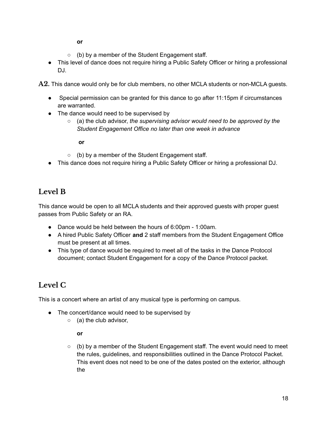- $\circ$  (b) by a member of the Student Engagement staff.
- This level of dance does not require hiring a Public Safety Officer or hiring a professional DJ.

**A2.** This dance would only be for club members, no other MCLA students or non-MCLA guests.

- Special permission can be granted for this dance to go after 11:15pm if circumstances are warranted.
- The dance would need to be supervised by
	- (a) the club advisor, *the supervising advisor would need to be approved by the Student Engagement Office no later than one week in advance*

#### **or**

- (b) by a member of the Student Engagement staff.
- This dance does not require hiring a Public Safety Officer or hiring a professional DJ.

# **Level B**

This dance would be open to all MCLA students and their approved guests with proper guest passes from Public Safety or an RA.

- Dance would be held between the hours of 6:00pm 1:00am.
- A hired Public Safety Officer **and** 2 staff members from the Student Engagement Office must be present at all times.
- This type of dance would be required to meet all of the tasks in the Dance Protocol document; contact Student Engagement for a copy of the Dance Protocol packet.

# **Level C**

This is a concert where an artist of any musical type is performing on campus.

- The concert/dance would need to be supervised by
	- $\circ$  (a) the club advisor,

#### **or**

 $\circ$  (b) by a member of the Student Engagement staff. The event would need to meet the rules, guidelines, and responsibilities outlined in the Dance Protocol Packet. This event does not need to be one of the dates posted on the exterior, although the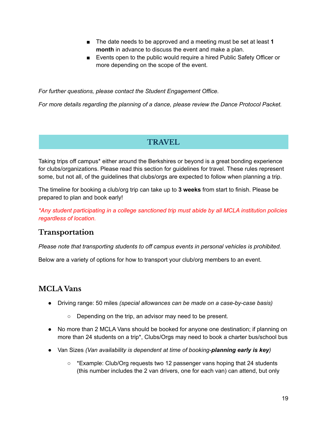- The date needs to be approved and a meeting must be set at least **1 month** in advance to discuss the event and make a plan.
- Events open to the public would require a hired Public Safety Officer or more depending on the scope of the event.

*For further questions, please contact the Student Engagement Office.*

*For more details regarding the planning of a dance, please review the Dance Protocol Packet.*

### **TRAVEL**

<span id="page-19-0"></span>Taking trips off campus\* either around the Berkshires or beyond is a great bonding experience for clubs/organizations. Please read this section for guidelines for travel. These rules represent some, but not all, of the guidelines that clubs/orgs are expected to follow when planning a trip.

The timeline for booking a club/org trip can take up to **3 weeks** from start to finish. Please be prepared to plan and book early!

*\*Any student participating in a college sanctioned trip must abide by all MCLA institution policies regardless of location.*

# <span id="page-19-1"></span>**Transportation**

*Please note that transporting students to off campus events in personal vehicles is prohibited.*

Below are a variety of options for how to transport your club/org members to an event.

# <span id="page-19-2"></span>**MCLA Vans**

- Driving range: 50 miles *(special allowances can be made on a case-by-case basis)*
	- Depending on the trip, an advisor may need to be present.
- No more than 2 MCLA Vans should be booked for anyone one destination; if planning on more than 24 students on a trip\*, Clubs/Orgs may need to book a charter bus/school bus
- Van Sizes *(Van availability is dependent at time of booking-planning early is key)*
	- \*Example: Club/Org requests two 12 passenger vans hoping that 24 students (this number includes the 2 van drivers, one for each van) can attend, but only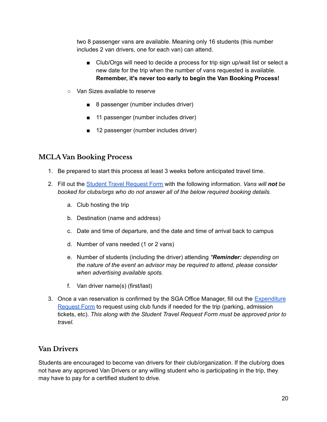two 8 passenger vans are available. Meaning only 16 students (this number includes 2 van drivers, one for each van) can attend.

- Club/Orgs will need to decide a process for trip sign up/wait list or select a new date for the trip when the number of vans requested is available. **Remember, it's never too early to begin the Van Booking Process!**
- Van Sizes available to reserve
	- 8 passenger (number includes driver)
	- 11 passenger (number includes driver)
	- 12 passenger (number includes driver)

#### **MCLA Van Booking Process**

- 1. Be prepared to start this process at least 3 weeks before anticipated travel time.
- 2. Fill out the Student Travel [Request](https://mcla.presence.io/form/student-travel-request-form) Form with the following information. *Vans will not be booked for clubs/orgs who do not answer all of the below required booking details.*
	- a. Club hosting the trip
	- b. Destination (name and address)
	- c. Date and time of departure, and the date and time of arrival back to campus
	- d. Number of vans needed (1 or 2 vans)
	- e. Number of students (including the driver) attending *\*Reminder: depending on the nature of the event an advisor may be required to attend, please consider when advertising available spots.*
	- f. Van driver name(s) (first/last)
- 3. Once a van reservation is confirmed by the SGA Office Manager, fill out the [Expenditure](https://mcla.presence.io/admin/form/create-expenditure/respond) [Request](https://mcla.presence.io/admin/form/create-expenditure/respond) Form to request using club funds if needed for the trip (parking, admission tickets, etc). *This along with the Student Travel Request Form must be approved prior to travel.*

#### **Van Drivers**

Students are encouraged to become van drivers for their club/organization. If the club/org does not have any approved Van Drivers or any willing student who is participating in the trip, they may have to pay for a certified student to drive.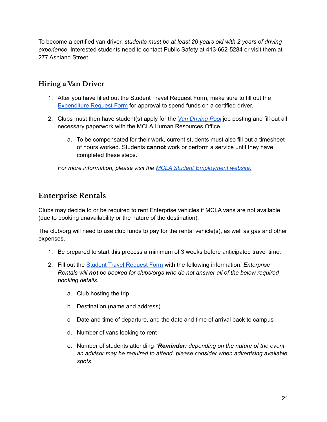To become a certified van driver, *students must be at least 20 years old with 2 years of driving experience*. Interested students need to contact Public Safety at 413-662-5284 or visit them at 277 Ashland Street.

### **Hiring a Van Driver**

- 1. After you have filled out the Student Travel Request Form, make sure to fill out the [Expenditure](https://mcla.presence.io/admin/form/create-expenditure/respond) Request Form for approval to spend funds on a certified driver.
- 2. Clubs must then have student(s) apply for the *Van [Driving](https://mcla.interviewexchange.com/jobofferdetails.jsp?JOBID=134309&CNTRNO=17&TSTMP=0) Pool* job posting and fill out all necessary paperwork with the MCLA Human Resources Office.
	- a. To be compensated for their work, current students must also fill out a timesheet of hours worked. Students **cannot** work or perform a service until they have completed these steps.

*For more information, please visit the MCLA Student [Employment](https://www.mcla.edu/administration/administrative-offices/hr/student-employment-forms.php) website.*

# <span id="page-21-0"></span>**Enterprise Rentals**

Clubs may decide to or be required to rent Enterprise vehicles if MCLA vans are not available (due to booking unavailability or the nature of the destination).

The club/org will need to use club funds to pay for the rental vehicle(s), as well as gas and other expenses.

- 1. Be prepared to start this process a minimum of 3 weeks before anticipated travel time.
- 2. Fill out the Student Travel [Request](https://mcla.presence.io/form/student-travel-request-form) Form with the following information. *Enterprise Rentals will not be booked for clubs/orgs who do not answer all of the below required booking details.*
	- a. Club hosting the trip
	- b. Destination (name and address)
	- c. Date and time of departure, and the date and time of arrival back to campus
	- d. Number of vans looking to rent
	- e. Number of students attending *\*Reminder: depending on the nature of the event an advisor may be required to attend, please consider when advertising available spots.*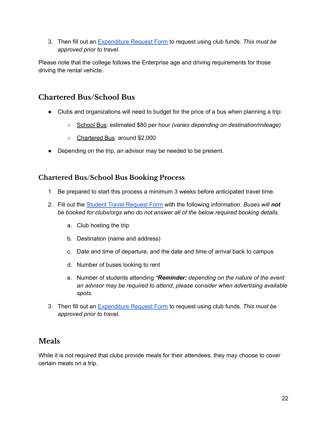3. Then fill out an [Expenditure](https://mcla.presence.io/admin/form/create-expenditure/respond) Request Form to request using club funds. *This must be approved prior to travel.*

Please note that the college follows the Enterprise age and driving requirements for those driving the rental vehicle.

# <span id="page-22-0"></span>**Chartered Bus/School Bus**

- Clubs and organizations will need to budget for the price of a bus when planning a trip:
	- School Bus: estimated \$80 per hour *(varies depending on destination/mileage)*
	- Chartered Bus: around \$2,000
- Depending on the trip, an advisor may be needed to be present.

#### **Chartered Bus/School Bus Booking Process**

- 1. Be prepared to start this process a minimum 3 weeks before anticipated travel time.
- 2. Fill out the Student Travel [Request](https://mcla.presence.io/form/student-travel-request-form) Form with the following information. *Buses will not be booked for clubs/orgs who do not answer all of the below required booking details.*
	- a. Club hosting the trip
	- b. Destination (name and address)
	- c. Date and time of departure, and the date and time of arrival back to campus
	- d. Number of buses looking to rent
	- e. Number of students attending *\*Reminder: depending on the nature of the event an advisor may be required to attend, please consider when advertising available spots.*
- 3. Then fill out an [Expenditure](https://mcla.presence.io/admin/form/create-expenditure/respond) Request Form to request using club funds. *This must be approved prior to travel.*

# <span id="page-22-1"></span>**Meals**

While it is not required that clubs provide meals for their attendees, they may choose to cover certain meals on a trip.